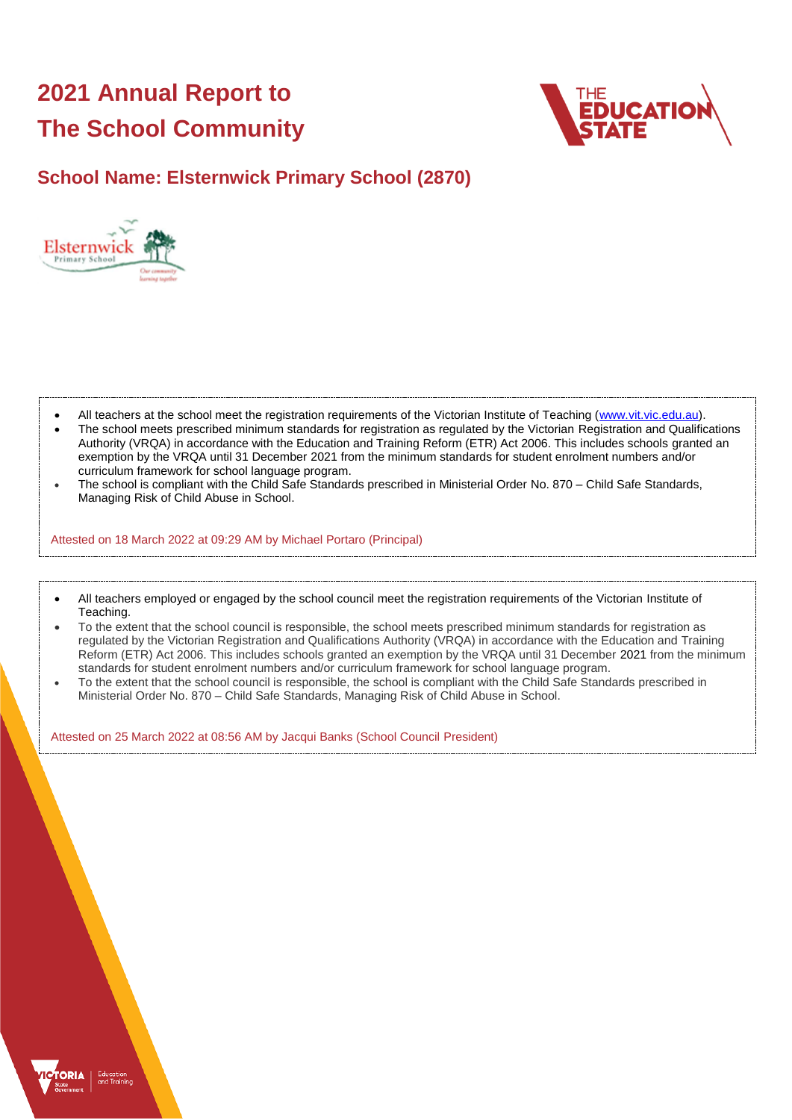# **2021 Annual Report to The School Community**



# **School Name: Elsternwick Primary School (2870)**



- All teachers at the school meet the registration requirements of the Victorian Institute of Teaching [\(www.vit.vic.edu.au\)](https://www.vit.vic.edu.au/).
- The school meets prescribed minimum standards for registration as regulated by the Victorian Registration and Qualifications Authority (VRQA) in accordance with the Education and Training Reform (ETR) Act 2006. This includes schools granted an exemption by the VRQA until 31 December 2021 from the minimum standards for student enrolment numbers and/or curriculum framework for school language program.
- The school is compliant with the Child Safe Standards prescribed in Ministerial Order No. 870 Child Safe Standards, Managing Risk of Child Abuse in School.

Attested on 18 March 2022 at 09:29 AM by Michael Portaro (Principal)

- All teachers employed or engaged by the school council meet the registration requirements of the Victorian Institute of Teaching.
- To the extent that the school council is responsible, the school meets prescribed minimum standards for registration as regulated by the Victorian Registration and Qualifications Authority (VRQA) in accordance with the Education and Training Reform (ETR) Act 2006. This includes schools granted an exemption by the VRQA until 31 December 2021 from the minimum standards for student enrolment numbers and/or curriculum framework for school language program.
- To the extent that the school council is responsible, the school is compliant with the Child Safe Standards prescribed in Ministerial Order No. 870 – Child Safe Standards, Managing Risk of Child Abuse in School.

Attested on 25 March 2022 at 08:56 AM by Jacqui Banks (School Council President)

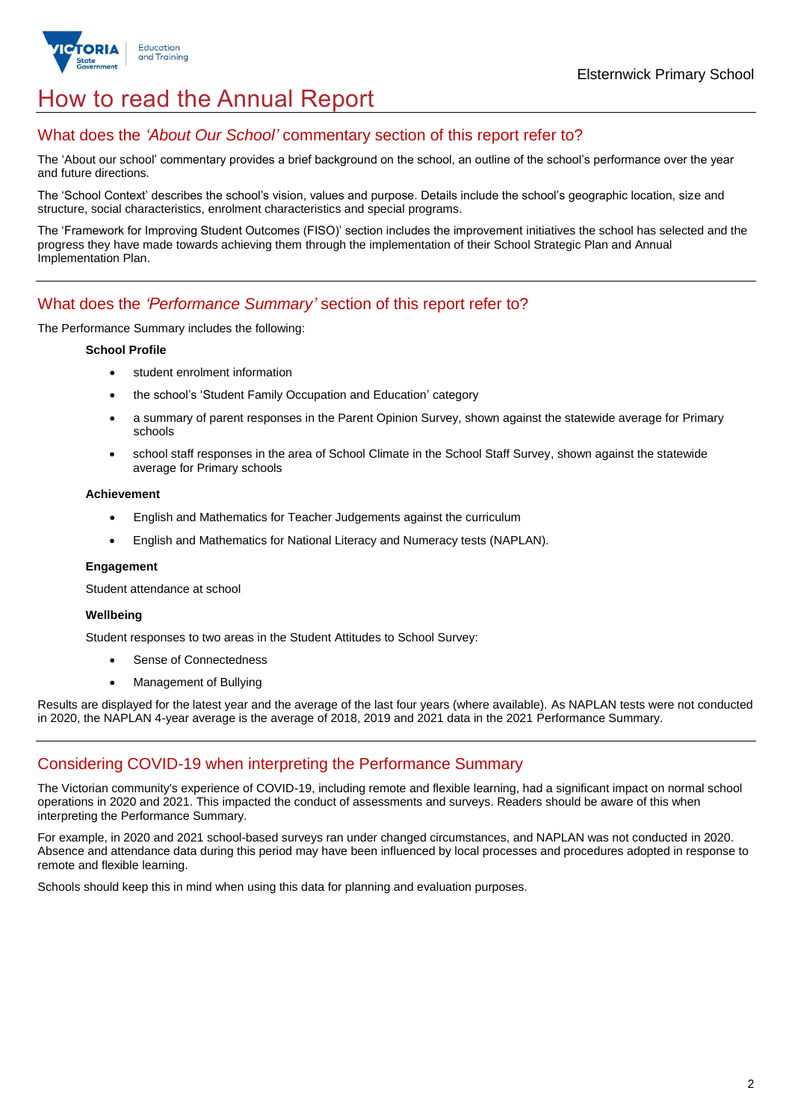

# How to read the Annual Report

### What does the *'About Our School'* commentary section of this report refer to?

The 'About our school' commentary provides a brief background on the school, an outline of the school's performance over the year and future directions.

The 'School Context' describes the school's vision, values and purpose. Details include the school's geographic location, size and structure, social characteristics, enrolment characteristics and special programs.

The 'Framework for Improving Student Outcomes (FISO)' section includes the improvement initiatives the school has selected and the progress they have made towards achieving them through the implementation of their School Strategic Plan and Annual Implementation Plan.

### What does the *'Performance Summary'* section of this report refer to?

The Performance Summary includes the following:

#### **School Profile**

- student enrolment information
- the school's 'Student Family Occupation and Education' category
- a summary of parent responses in the Parent Opinion Survey, shown against the statewide average for Primary schools
- school staff responses in the area of School Climate in the School Staff Survey, shown against the statewide average for Primary schools

#### **Achievement**

- English and Mathematics for Teacher Judgements against the curriculum
- English and Mathematics for National Literacy and Numeracy tests (NAPLAN).

#### **Engagement**

Student attendance at school

#### **Wellbeing**

Student responses to two areas in the Student Attitudes to School Survey:

- Sense of Connectedness
- Management of Bullying

Results are displayed for the latest year and the average of the last four years (where available). As NAPLAN tests were not conducted in 2020, the NAPLAN 4-year average is the average of 2018, 2019 and 2021 data in the 2021 Performance Summary.

### Considering COVID-19 when interpreting the Performance Summary

The Victorian community's experience of COVID-19, including remote and flexible learning, had a significant impact on normal school operations in 2020 and 2021. This impacted the conduct of assessments and surveys. Readers should be aware of this when interpreting the Performance Summary.

For example, in 2020 and 2021 school-based surveys ran under changed circumstances, and NAPLAN was not conducted in 2020. Absence and attendance data during this period may have been influenced by local processes and procedures adopted in response to remote and flexible learning.

Schools should keep this in mind when using this data for planning and evaluation purposes.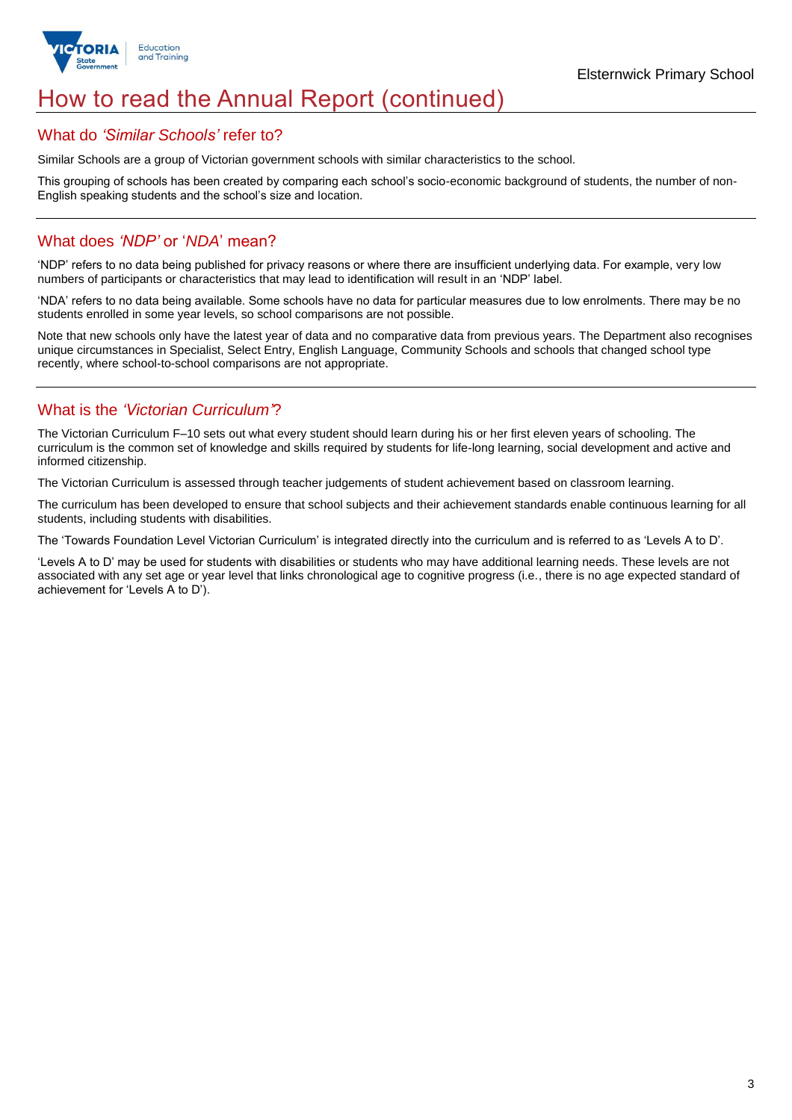

# How to read the Annual Report (continued)

### What do *'Similar Schools'* refer to?

Similar Schools are a group of Victorian government schools with similar characteristics to the school.

This grouping of schools has been created by comparing each school's socio-economic background of students, the number of non-English speaking students and the school's size and location.

## What does *'NDP'* or '*NDA*' mean?

'NDP' refers to no data being published for privacy reasons or where there are insufficient underlying data. For example, very low numbers of participants or characteristics that may lead to identification will result in an 'NDP' label.

'NDA' refers to no data being available. Some schools have no data for particular measures due to low enrolments. There may be no students enrolled in some year levels, so school comparisons are not possible.

Note that new schools only have the latest year of data and no comparative data from previous years. The Department also recognises unique circumstances in Specialist, Select Entry, English Language, Community Schools and schools that changed school type recently, where school-to-school comparisons are not appropriate.

# What is the *'Victorian Curriculum'*?

The Victorian Curriculum F–10 sets out what every student should learn during his or her first eleven years of schooling. The curriculum is the common set of knowledge and skills required by students for life-long learning, social development and active and informed citizenship.

The Victorian Curriculum is assessed through teacher judgements of student achievement based on classroom learning.

The curriculum has been developed to ensure that school subjects and their achievement standards enable continuous learning for all students, including students with disabilities.

The 'Towards Foundation Level Victorian Curriculum' is integrated directly into the curriculum and is referred to as 'Levels A to D'.

'Levels A to D' may be used for students with disabilities or students who may have additional learning needs. These levels are not associated with any set age or year level that links chronological age to cognitive progress (i.e., there is no age expected standard of achievement for 'Levels A to D').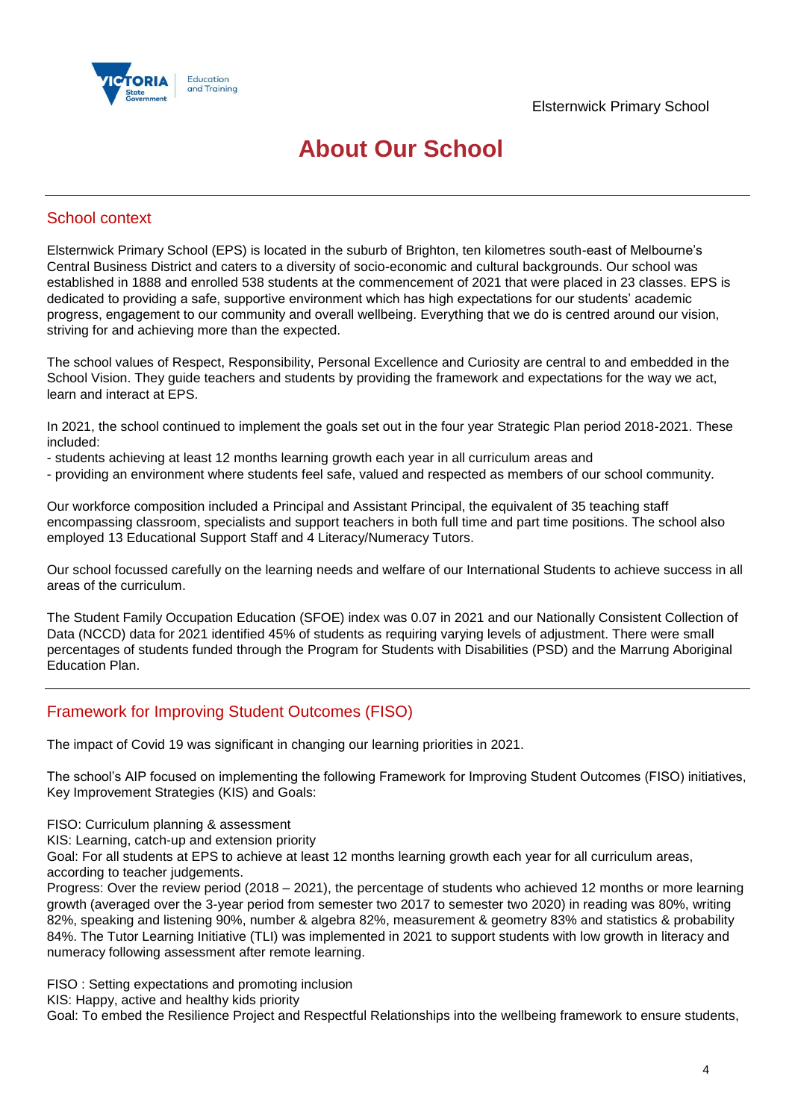

# **About Our School**

## School context

Elsternwick Primary School (EPS) is located in the suburb of Brighton, ten kilometres south-east of Melbourne's Central Business District and caters to a diversity of socio-economic and cultural backgrounds. Our school was established in 1888 and enrolled 538 students at the commencement of 2021 that were placed in 23 classes. EPS is dedicated to providing a safe, supportive environment which has high expectations for our students' academic progress, engagement to our community and overall wellbeing. Everything that we do is centred around our vision, striving for and achieving more than the expected.

The school values of Respect, Responsibility, Personal Excellence and Curiosity are central to and embedded in the School Vision. They guide teachers and students by providing the framework and expectations for the way we act, learn and interact at EPS.

In 2021, the school continued to implement the goals set out in the four year Strategic Plan period 2018-2021. These included:

- students achieving at least 12 months learning growth each year in all curriculum areas and
- providing an environment where students feel safe, valued and respected as members of our school community.

Our workforce composition included a Principal and Assistant Principal, the equivalent of 35 teaching staff encompassing classroom, specialists and support teachers in both full time and part time positions. The school also employed 13 Educational Support Staff and 4 Literacy/Numeracy Tutors.

Our school focussed carefully on the learning needs and welfare of our International Students to achieve success in all areas of the curriculum.

The Student Family Occupation Education (SFOE) index was 0.07 in 2021 and our Nationally Consistent Collection of Data (NCCD) data for 2021 identified 45% of students as requiring varying levels of adjustment. There were small percentages of students funded through the Program for Students with Disabilities (PSD) and the Marrung Aboriginal Education Plan.

# Framework for Improving Student Outcomes (FISO)

The impact of Covid 19 was significant in changing our learning priorities in 2021.

The school's AIP focused on implementing the following Framework for Improving Student Outcomes (FISO) initiatives, Key Improvement Strategies (KIS) and Goals:

FISO: Curriculum planning & assessment

KIS: Learning, catch-up and extension priority

Goal: For all students at EPS to achieve at least 12 months learning growth each year for all curriculum areas, according to teacher judgements.

Progress: Over the review period (2018 – 2021), the percentage of students who achieved 12 months or more learning growth (averaged over the 3-year period from semester two 2017 to semester two 2020) in reading was 80%, writing 82%, speaking and listening 90%, number & algebra 82%, measurement & geometry 83% and statistics & probability 84%. The Tutor Learning Initiative (TLI) was implemented in 2021 to support students with low growth in literacy and numeracy following assessment after remote learning.

FISO : Setting expectations and promoting inclusion

KIS: Happy, active and healthy kids priority

Goal: To embed the Resilience Project and Respectful Relationships into the wellbeing framework to ensure students,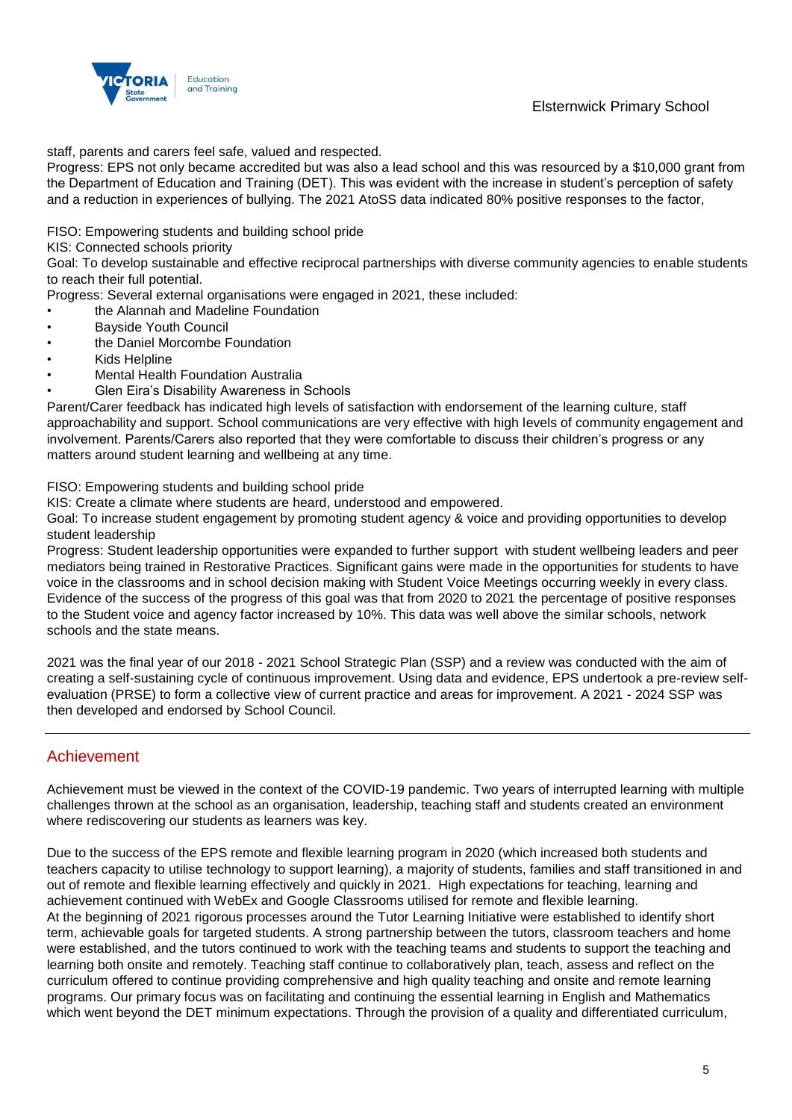

Elsternwick Primary School

staff, parents and carers feel safe, valued and respected.

Progress: EPS not only became accredited but was also a lead school and this was resourced by a \$10,000 grant from the Department of Education and Training (DET). This was evident with the increase in student's perception of safety and a reduction in experiences of bullying. The 2021 AtoSS data indicated 80% positive responses to the factor,

FISO: Empowering students and building school pride

KIS: Connected schools priority

Goal: To develop sustainable and effective reciprocal partnerships with diverse community agencies to enable students to reach their full potential.

Progress: Several external organisations were engaged in 2021, these included:

- the Alannah and Madeline Foundation
- Bayside Youth Council
- the Daniel Morcombe Foundation
- Kids Helpline
- Mental Health Foundation Australia
- Glen Eira's Disability Awareness in Schools

Parent/Carer feedback has indicated high levels of satisfaction with endorsement of the learning culture, staff approachability and support. School communications are very effective with high levels of community engagement and involvement. Parents/Carers also reported that they were comfortable to discuss their children's progress or any matters around student learning and wellbeing at any time.

FISO: Empowering students and building school pride

KIS: Create a climate where students are heard, understood and empowered.

Goal: To increase student engagement by promoting student agency & voice and providing opportunities to develop student leadership

Progress: Student leadership opportunities were expanded to further support with student wellbeing leaders and peer mediators being trained in Restorative Practices. Significant gains were made in the opportunities for students to have voice in the classrooms and in school decision making with Student Voice Meetings occurring weekly in every class. Evidence of the success of the progress of this goal was that from 2020 to 2021 the percentage of positive responses to the Student voice and agency factor increased by 10%. This data was well above the similar schools, network schools and the state means.

2021 was the final year of our 2018 - 2021 School Strategic Plan (SSP) and a review was conducted with the aim of creating a self-sustaining cycle of continuous improvement. Using data and evidence, EPS undertook a pre-review selfevaluation (PRSE) to form a collective view of current practice and areas for improvement. A 2021 - 2024 SSP was then developed and endorsed by School Council.

# Achievement

Achievement must be viewed in the context of the COVID-19 pandemic. Two years of interrupted learning with multiple challenges thrown at the school as an organisation, leadership, teaching staff and students created an environment where rediscovering our students as learners was key.

Due to the success of the EPS remote and flexible learning program in 2020 (which increased both students and teachers capacity to utilise technology to support learning), a majority of students, families and staff transitioned in and out of remote and flexible learning effectively and quickly in 2021. High expectations for teaching, learning and achievement continued with WebEx and Google Classrooms utilised for remote and flexible learning. At the beginning of 2021 rigorous processes around the Tutor Learning Initiative were established to identify short term, achievable goals for targeted students. A strong partnership between the tutors, classroom teachers and home were established, and the tutors continued to work with the teaching teams and students to support the teaching and learning both onsite and remotely. Teaching staff continue to collaboratively plan, teach, assess and reflect on the curriculum offered to continue providing comprehensive and high quality teaching and onsite and remote learning programs. Our primary focus was on facilitating and continuing the essential learning in English and Mathematics which went beyond the DET minimum expectations. Through the provision of a quality and differentiated curriculum,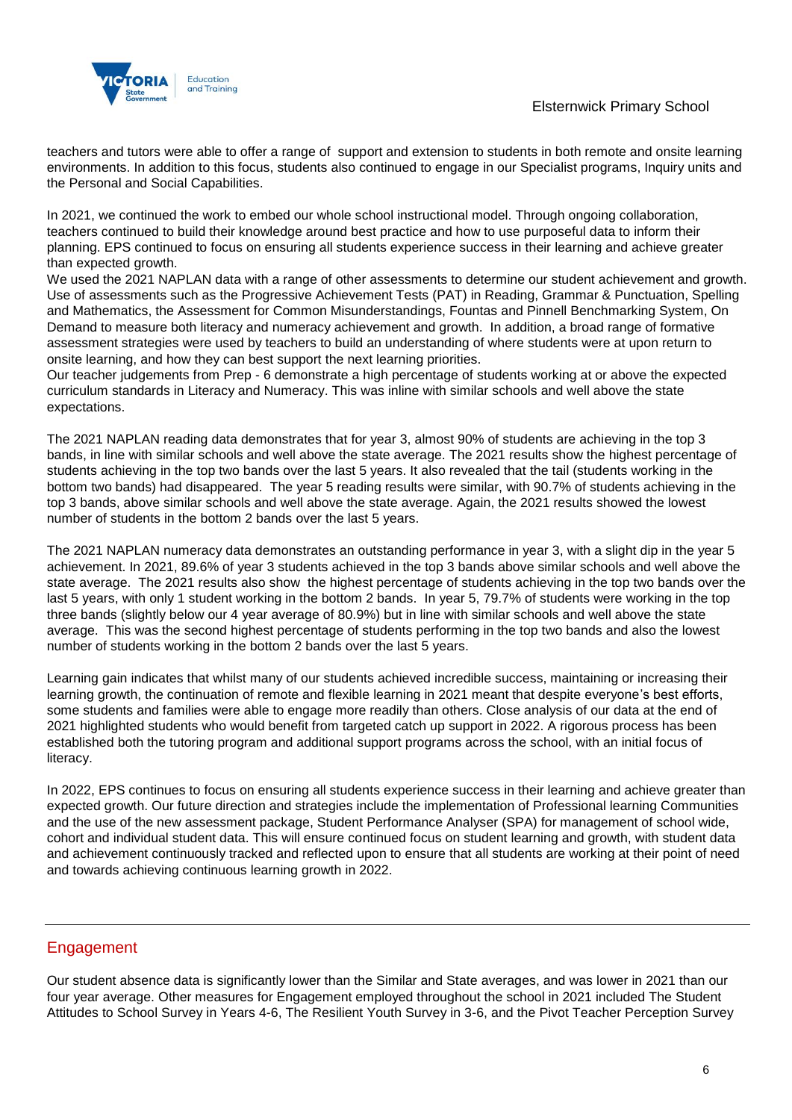teachers and tutors were able to offer a range of support and extension to students in both remote and onsite learning environments. In addition to this focus, students also continued to engage in our Specialist programs, Inquiry units and the Personal and Social Capabilities.

In 2021, we continued the work to embed our whole school instructional model. Through ongoing collaboration, teachers continued to build their knowledge around best practice and how to use purposeful data to inform their planning. EPS continued to focus on ensuring all students experience success in their learning and achieve greater than expected growth.

We used the 2021 NAPLAN data with a range of other assessments to determine our student achievement and growth. Use of assessments such as the Progressive Achievement Tests (PAT) in Reading, Grammar & Punctuation, Spelling and Mathematics, the Assessment for Common Misunderstandings, Fountas and Pinnell Benchmarking System, On Demand to measure both literacy and numeracy achievement and growth. In addition, a broad range of formative assessment strategies were used by teachers to build an understanding of where students were at upon return to onsite learning, and how they can best support the next learning priorities.

Our teacher judgements from Prep - 6 demonstrate a high percentage of students working at or above the expected curriculum standards in Literacy and Numeracy. This was inline with similar schools and well above the state expectations.

The 2021 NAPLAN reading data demonstrates that for year 3, almost 90% of students are achieving in the top 3 bands, in line with similar schools and well above the state average. The 2021 results show the highest percentage of students achieving in the top two bands over the last 5 years. It also revealed that the tail (students working in the bottom two bands) had disappeared. The year 5 reading results were similar, with 90.7% of students achieving in the top 3 bands, above similar schools and well above the state average. Again, the 2021 results showed the lowest number of students in the bottom 2 bands over the last 5 years.

The 2021 NAPLAN numeracy data demonstrates an outstanding performance in year 3, with a slight dip in the year 5 achievement. In 2021, 89.6% of year 3 students achieved in the top 3 bands above similar schools and well above the state average. The 2021 results also show the highest percentage of students achieving in the top two bands over the last 5 years, with only 1 student working in the bottom 2 bands. In year 5, 79.7% of students were working in the top three bands (slightly below our 4 year average of 80.9%) but in line with similar schools and well above the state average. This was the second highest percentage of students performing in the top two bands and also the lowest number of students working in the bottom 2 bands over the last 5 years.

Learning gain indicates that whilst many of our students achieved incredible success, maintaining or increasing their learning growth, the continuation of remote and flexible learning in 2021 meant that despite everyone's best efforts, some students and families were able to engage more readily than others. Close analysis of our data at the end of 2021 highlighted students who would benefit from targeted catch up support in 2022. A rigorous process has been established both the tutoring program and additional support programs across the school, with an initial focus of literacy.

In 2022, EPS continues to focus on ensuring all students experience success in their learning and achieve greater than expected growth. Our future direction and strategies include the implementation of Professional learning Communities and the use of the new assessment package, Student Performance Analyser (SPA) for management of school wide, cohort and individual student data. This will ensure continued focus on student learning and growth, with student data and achievement continuously tracked and reflected upon to ensure that all students are working at their point of need and towards achieving continuous learning growth in 2022.

# Engagement

Our student absence data is significantly lower than the Similar and State averages, and was lower in 2021 than our four year average. Other measures for Engagement employed throughout the school in 2021 included The Student Attitudes to School Survey in Years 4-6, The Resilient Youth Survey in 3-6, and the Pivot Teacher Perception Survey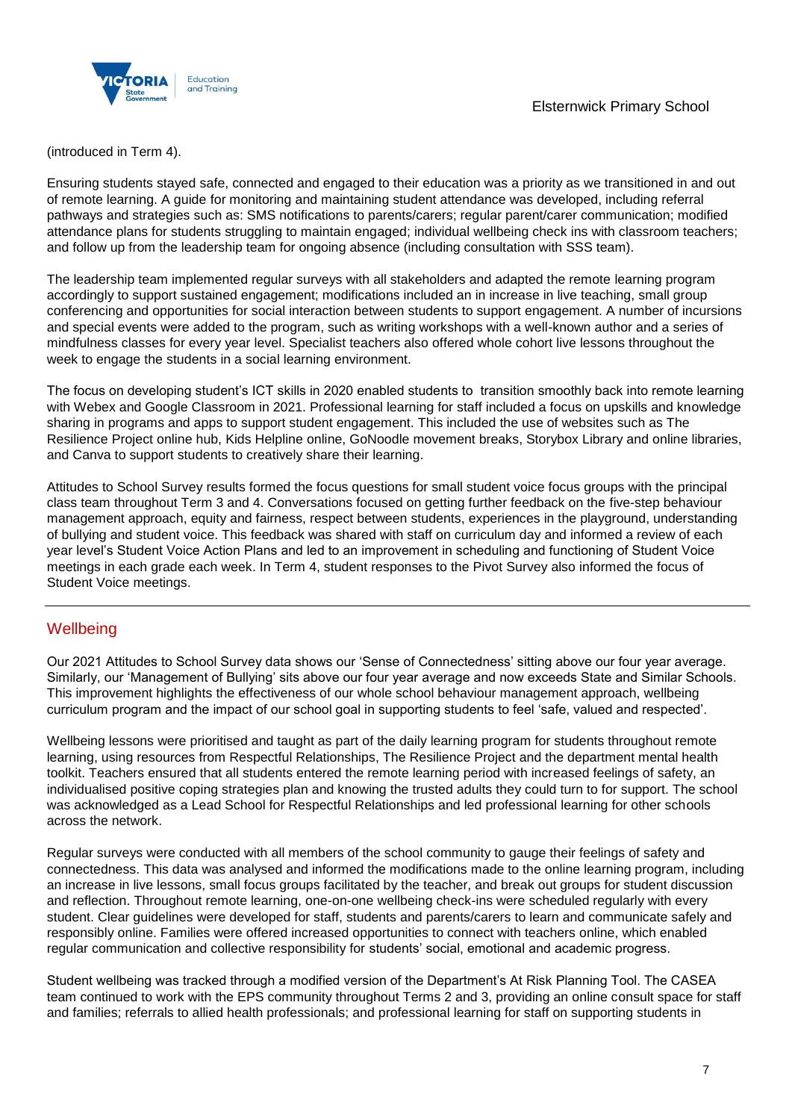

(introduced in Term 4).

Ensuring students stayed safe, connected and engaged to their education was a priority as we transitioned in and out of remote learning. A guide for monitoring and maintaining student attendance was developed, including referral pathways and strategies such as: SMS notifications to parents/carers; regular parent/carer communication; modified attendance plans for students struggling to maintain engaged; individual wellbeing check ins with classroom teachers; and follow up from the leadership team for ongoing absence (including consultation with SSS team).

The leadership team implemented regular surveys with all stakeholders and adapted the remote learning program accordingly to support sustained engagement; modifications included an in increase in live teaching, small group conferencing and opportunities for social interaction between students to support engagement. A number of incursions and special events were added to the program, such as writing workshops with a well-known author and a series of mindfulness classes for every year level. Specialist teachers also offered whole cohort live lessons throughout the week to engage the students in a social learning environment.

The focus on developing student's ICT skills in 2020 enabled students to transition smoothly back into remote learning with Webex and Google Classroom in 2021. Professional learning for staff included a focus on upskills and knowledge sharing in programs and apps to support student engagement. This included the use of websites such as The Resilience Project online hub, Kids Helpline online, GoNoodle movement breaks, Storybox Library and online libraries, and Canva to support students to creatively share their learning.

Attitudes to School Survey results formed the focus questions for small student voice focus groups with the principal class team throughout Term 3 and 4. Conversations focused on getting further feedback on the five-step behaviour management approach, equity and fairness, respect between students, experiences in the playground, understanding of bullying and student voice. This feedback was shared with staff on curriculum day and informed a review of each year level's Student Voice Action Plans and led to an improvement in scheduling and functioning of Student Voice meetings in each grade each week. In Term 4, student responses to the Pivot Survey also informed the focus of Student Voice meetings.

# **Wellbeing**

Our 2021 Attitudes to School Survey data shows our 'Sense of Connectedness' sitting above our four year average. Similarly, our 'Management of Bullying' sits above our four year average and now exceeds State and Similar Schools. This improvement highlights the effectiveness of our whole school behaviour management approach, wellbeing curriculum program and the impact of our school goal in supporting students to feel 'safe, valued and respected'.

Wellbeing lessons were prioritised and taught as part of the daily learning program for students throughout remote learning, using resources from Respectful Relationships, The Resilience Project and the department mental health toolkit. Teachers ensured that all students entered the remote learning period with increased feelings of safety, an individualised positive coping strategies plan and knowing the trusted adults they could turn to for support. The school was acknowledged as a Lead School for Respectful Relationships and led professional learning for other schools across the network.

Regular surveys were conducted with all members of the school community to gauge their feelings of safety and connectedness. This data was analysed and informed the modifications made to the online learning program, including an increase in live lessons, small focus groups facilitated by the teacher, and break out groups for student discussion and reflection. Throughout remote learning, one-on-one wellbeing check-ins were scheduled regularly with every student. Clear guidelines were developed for staff, students and parents/carers to learn and communicate safely and responsibly online. Families were offered increased opportunities to connect with teachers online, which enabled regular communication and collective responsibility for students' social, emotional and academic progress.

Student wellbeing was tracked through a modified version of the Department's At Risk Planning Tool. The CASEA team continued to work with the EPS community throughout Terms 2 and 3, providing an online consult space for staff and families; referrals to allied health professionals; and professional learning for staff on supporting students in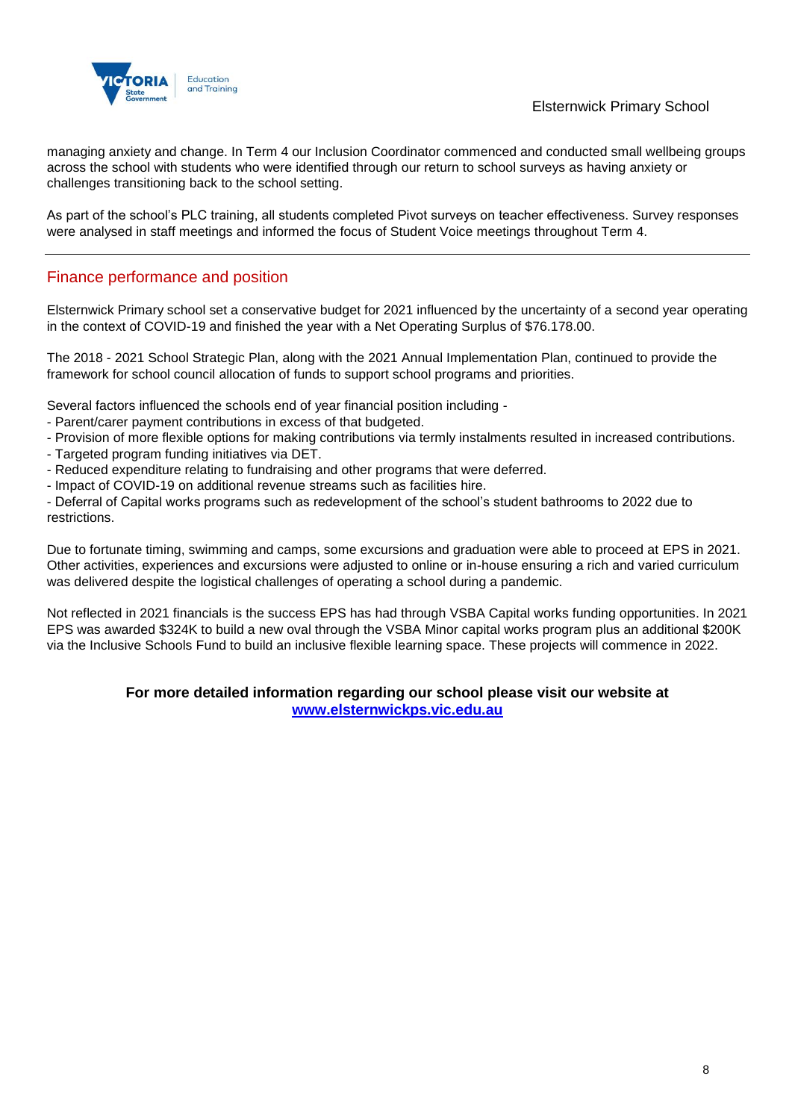

## Elsternwick Primary School

managing anxiety and change. In Term 4 our Inclusion Coordinator commenced and conducted small wellbeing groups across the school with students who were identified through our return to school surveys as having anxiety or challenges transitioning back to the school setting.

As part of the school's PLC training, all students completed Pivot surveys on teacher effectiveness. Survey responses were analysed in staff meetings and informed the focus of Student Voice meetings throughout Term 4.

# Finance performance and position

Elsternwick Primary school set a conservative budget for 2021 influenced by the uncertainty of a second year operating in the context of COVID-19 and finished the year with a Net Operating Surplus of \$76.178.00.

The 2018 - 2021 School Strategic Plan, along with the 2021 Annual Implementation Plan, continued to provide the framework for school council allocation of funds to support school programs and priorities.

Several factors influenced the schools end of year financial position including -

- Parent/carer payment contributions in excess of that budgeted.
- Provision of more flexible options for making contributions via termly instalments resulted in increased contributions.
- Targeted program funding initiatives via DET.
- Reduced expenditure relating to fundraising and other programs that were deferred.
- Impact of COVID-19 on additional revenue streams such as facilities hire.

- Deferral of Capital works programs such as redevelopment of the school's student bathrooms to 2022 due to restrictions.

Due to fortunate timing, swimming and camps, some excursions and graduation were able to proceed at EPS in 2021. Other activities, experiences and excursions were adjusted to online or in-house ensuring a rich and varied curriculum was delivered despite the logistical challenges of operating a school during a pandemic.

Not reflected in 2021 financials is the success EPS has had through VSBA Capital works funding opportunities. In 2021 EPS was awarded \$324K to build a new oval through the VSBA Minor capital works program plus an additional \$200K via the Inclusive Schools Fund to build an inclusive flexible learning space. These projects will commence in 2022.

### **For more detailed information regarding our school please visit our website at [www.elsternwickps.vic.edu.au](file:///C:/Users/08319876.EDU001/Downloads/www.elsternwickps.vic.edu.au)**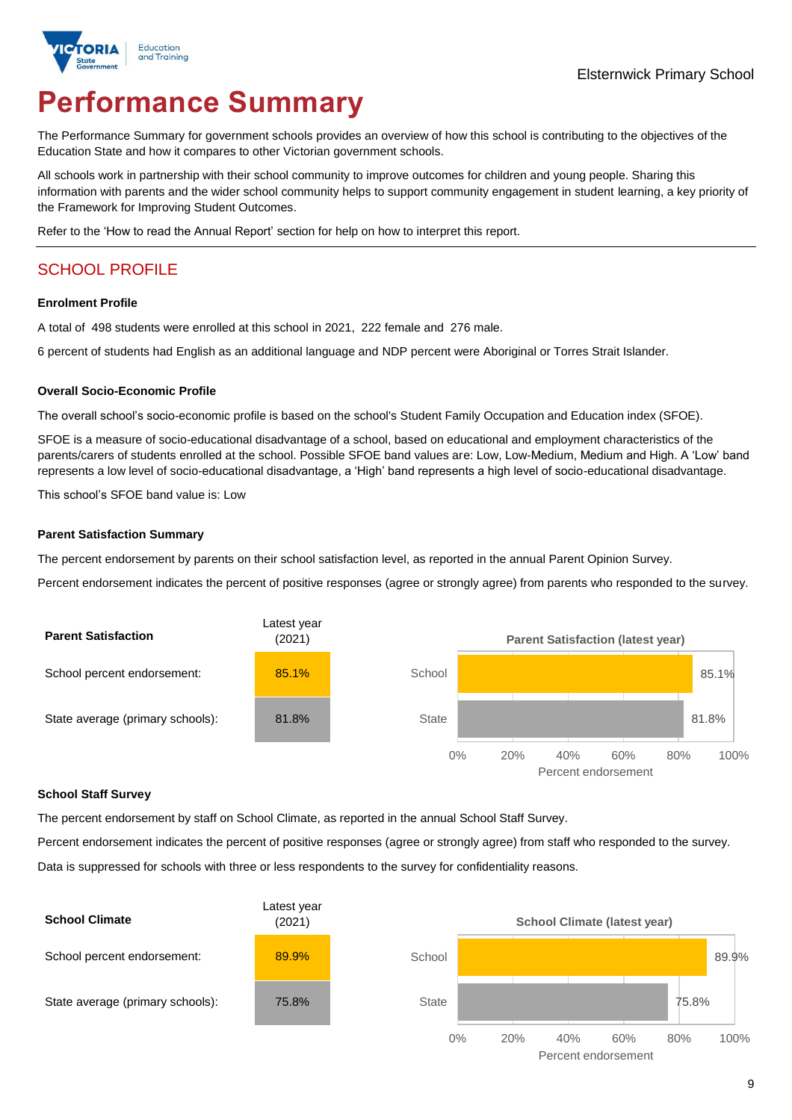

# **Performance Summary**

The Performance Summary for government schools provides an overview of how this school is contributing to the objectives of the Education State and how it compares to other Victorian government schools.

All schools work in partnership with their school community to improve outcomes for children and young people. Sharing this information with parents and the wider school community helps to support community engagement in student learning, a key priority of the Framework for Improving Student Outcomes.

Refer to the 'How to read the Annual Report' section for help on how to interpret this report.

# SCHOOL PROFILE

### **Enrolment Profile**

A total of 498 students were enrolled at this school in 2021, 222 female and 276 male.

6 percent of students had English as an additional language and NDP percent were Aboriginal or Torres Strait Islander.

### **Overall Socio-Economic Profile**

The overall school's socio-economic profile is based on the school's Student Family Occupation and Education index (SFOE).

SFOE is a measure of socio-educational disadvantage of a school, based on educational and employment characteristics of the parents/carers of students enrolled at the school. Possible SFOE band values are: Low, Low-Medium, Medium and High. A 'Low' band represents a low level of socio-educational disadvantage, a 'High' band represents a high level of socio-educational disadvantage.

This school's SFOE band value is: Low

### **Parent Satisfaction Summary**

The percent endorsement by parents on their school satisfaction level, as reported in the annual Parent Opinion Survey.

Percent endorsement indicates the percent of positive responses (agree or strongly agree) from parents who responded to the survey.



### **School Staff Survey**

The percent endorsement by staff on School Climate, as reported in the annual School Staff Survey.

Percent endorsement indicates the percent of positive responses (agree or strongly agree) from staff who responded to the survey.

Data is suppressed for schools with three or less respondents to the survey for confidentiality reasons.

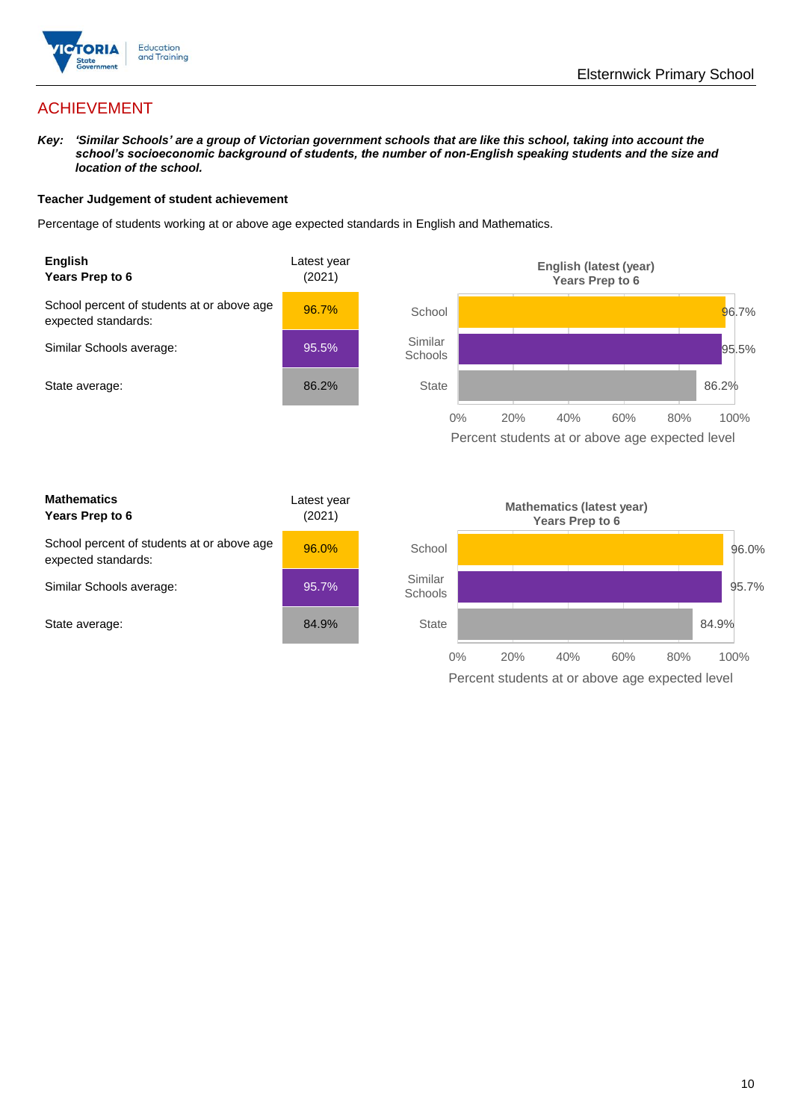

# ACHIEVEMENT

*Key: 'Similar Schools' are a group of Victorian government schools that are like this school, taking into account the school's socioeconomic background of students, the number of non-English speaking students and the size and location of the school.*

### **Teacher Judgement of student achievement**

Percentage of students working at or above age expected standards in English and Mathematics.



Percent students at or above age expected level

| <b>Mathematics</b><br>Years Prep to 6                             | Latest year<br>(2021) |
|-------------------------------------------------------------------|-----------------------|
| School percent of students at or above age<br>expected standards: | 96.0%                 |
| Similar Schools average:                                          | 95.7%                 |
| State average:                                                    | 84.9%                 |

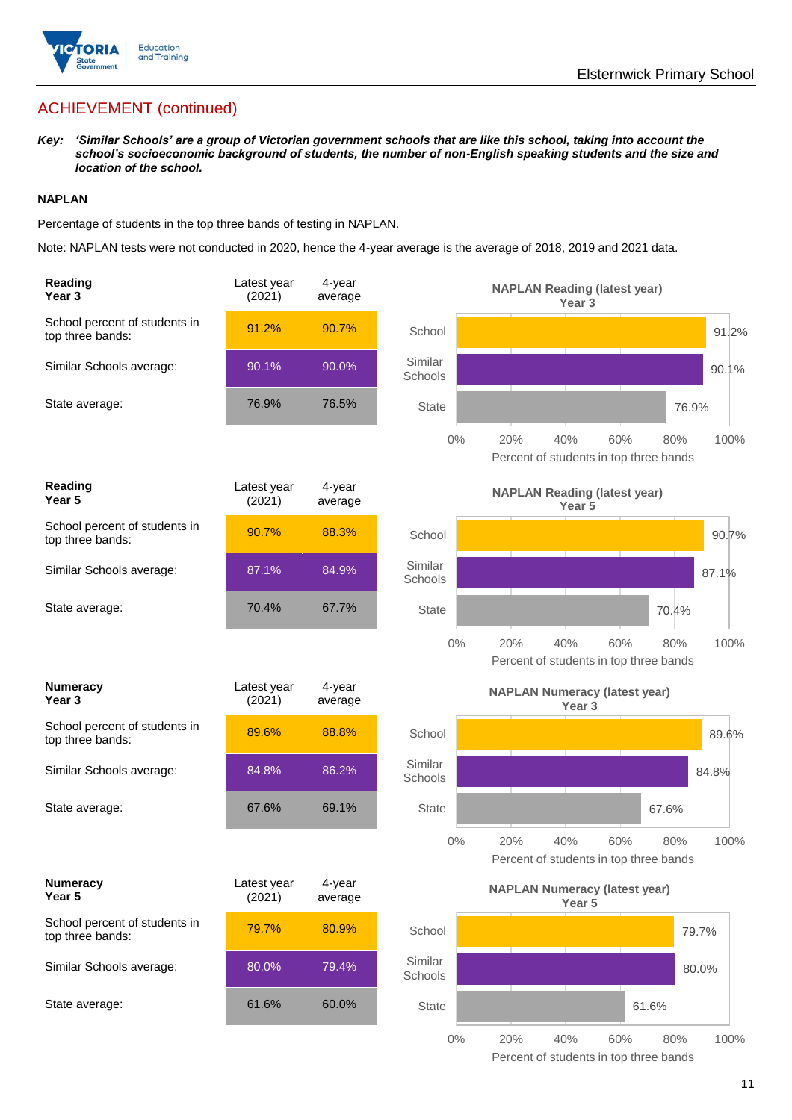

# ACHIEVEMENT (continued)

*Key: 'Similar Schools' are a group of Victorian government schools that are like this school, taking into account the school's socioeconomic background of students, the number of non-English speaking students and the size and location of the school.*

### **NAPLAN**

Percentage of students in the top three bands of testing in NAPLAN.

Note: NAPLAN tests were not conducted in 2020, hence the 4-year average is the average of 2018, 2019 and 2021 data.

| Reading<br>Year <sub>3</sub>                      | Latest year<br>(2021) | 4-year<br>average |                    | <b>NAPLAN Reading (latest year)</b><br>Year <sub>3</sub>                   |
|---------------------------------------------------|-----------------------|-------------------|--------------------|----------------------------------------------------------------------------|
| School percent of students in<br>top three bands: | 91.2%                 | 90.7%             | School             | 91.2%                                                                      |
| Similar Schools average:                          | 90.1%                 | 90.0%             | Similar<br>Schools | 90.1%                                                                      |
| State average:                                    | 76.9%                 | 76.5%             | <b>State</b>       | 76.9%                                                                      |
|                                                   |                       |                   | 0%                 | 20%<br>40%<br>60%<br>80%<br>100%<br>Percent of students in top three bands |
| Reading<br>Year 5                                 | Latest year<br>(2021) | 4-year<br>average |                    | <b>NAPLAN Reading (latest year)</b><br>Year 5                              |
| School percent of students in<br>top three bands: | 90.7%                 | 88.3%             | School             | 90.7%                                                                      |
| Similar Schools average:                          | 87.1%                 | 84.9%             | Similar<br>Schools | 87.1%                                                                      |
| State average:                                    | 70.4%                 | 67.7%             | <b>State</b>       | 70.4%                                                                      |
|                                                   |                       |                   | $0\%$              | 20%<br>40%<br>60%<br>100%<br>80%<br>Percent of students in top three bands |
| <b>Numeracy</b><br>Year <sub>3</sub>              | Latest year<br>(2021) | 4-year<br>average |                    | <b>NAPLAN Numeracy (latest year)</b><br>Year <sub>3</sub>                  |
| School percent of students in<br>top three bands: | 89.6%                 | 88.8%             | School             | 89.6%                                                                      |
| Similar Schools average:                          | 84.8%                 | 86.2%             | Similar<br>Schools | 84.8%                                                                      |
| State average:                                    | 67.6%                 | 69.1%             | <b>State</b>       | 67.6%                                                                      |
|                                                   |                       |                   | 0%                 | 40%<br>100%<br>20%<br>60%<br>80%<br>Percent of students in top three bands |
| <b>Numeracy</b><br>Year 5                         | Latest year<br>(2021) | 4-year<br>average |                    | <b>NAPLAN Numeracy (latest year)</b><br>Year <sub>5</sub>                  |
| School percent of students in<br>top three bands: | 79.7%                 | 80.9%             | School             | 79.7%                                                                      |
| Similar Schools average:                          | 80.0%                 | 79.4%             | Similar<br>Schools | 80.0%                                                                      |
| State average:                                    | 61.6%                 | 60.0%             | State              | 61.6%                                                                      |
|                                                   |                       |                   | $0\%$              | 40%<br>20%<br>60%<br>$80\%$<br>100%                                        |

Percent of students in top three bands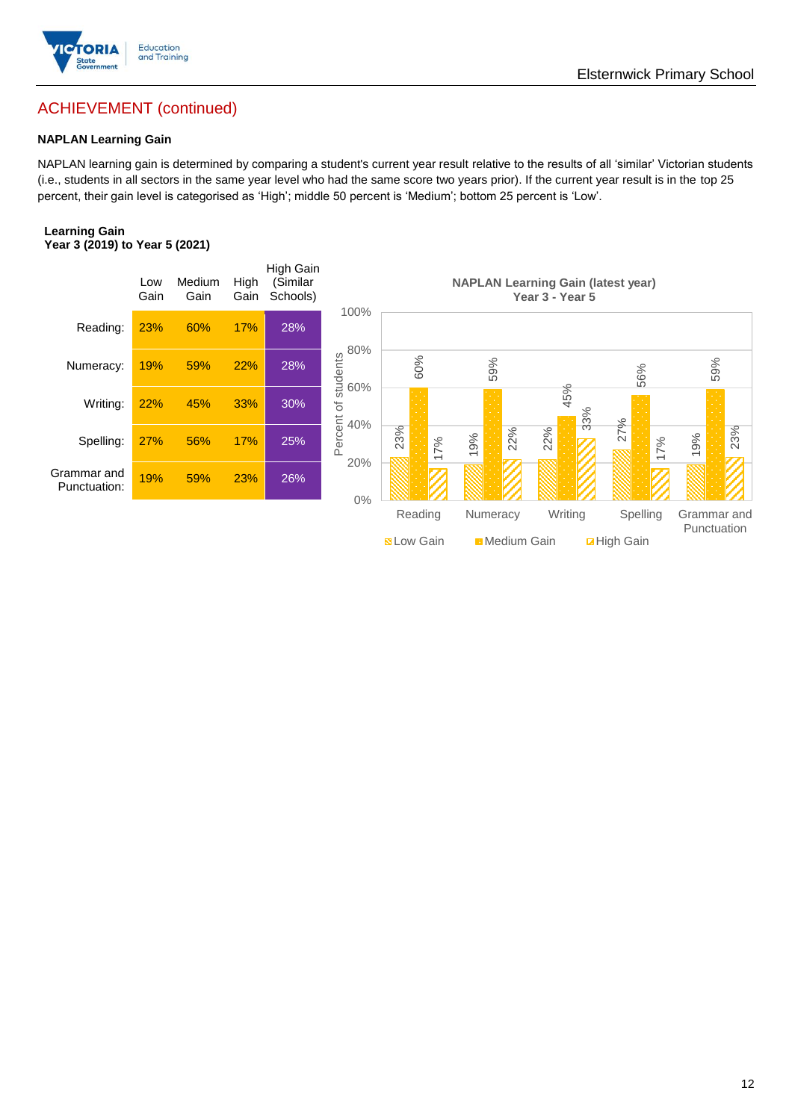

## Elsternwick Primary School

# ACHIEVEMENT (continued)

### **NAPLAN Learning Gain**

NAPLAN learning gain is determined by comparing a student's current year result relative to the results of all 'similar' Victorian students (i.e., students in all sectors in the same year level who had the same score two years prior). If the current year result is in the top 25 percent, their gain level is categorised as 'High'; middle 50 percent is 'Medium'; bottom 25 percent is 'Low'.

### **Learning Gain Year 3 (2019) to Year 5 (2021)**



**National Medium Gain Math Dight Gain**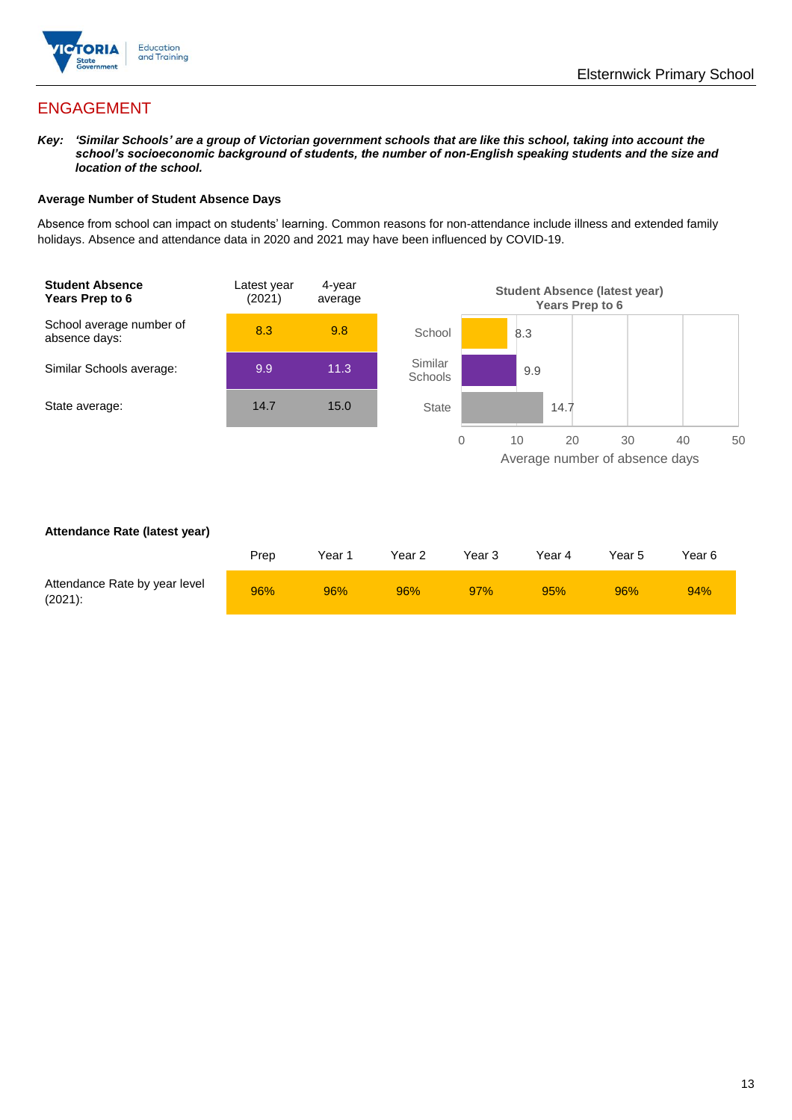

# ENGAGEMENT

*Key: 'Similar Schools' are a group of Victorian government schools that are like this school, taking into account the school's socioeconomic background of students, the number of non-English speaking students and the size and location of the school.*

### **Average Number of Student Absence Days**

Absence from school can impact on students' learning. Common reasons for non-attendance include illness and extended family holidays. Absence and attendance data in 2020 and 2021 may have been influenced by COVID-19.



### **Attendance Rate (latest year)**

|                                             | Prep | Year 1 | Year 2 | Year 3 | Year 4 | Year 5 | Year 6 |
|---------------------------------------------|------|--------|--------|--------|--------|--------|--------|
| Attendance Rate by year level<br>$(2021)$ : | 96%  | 96%    | 96%    | 97%    | 95%    | 96%    | 94%    |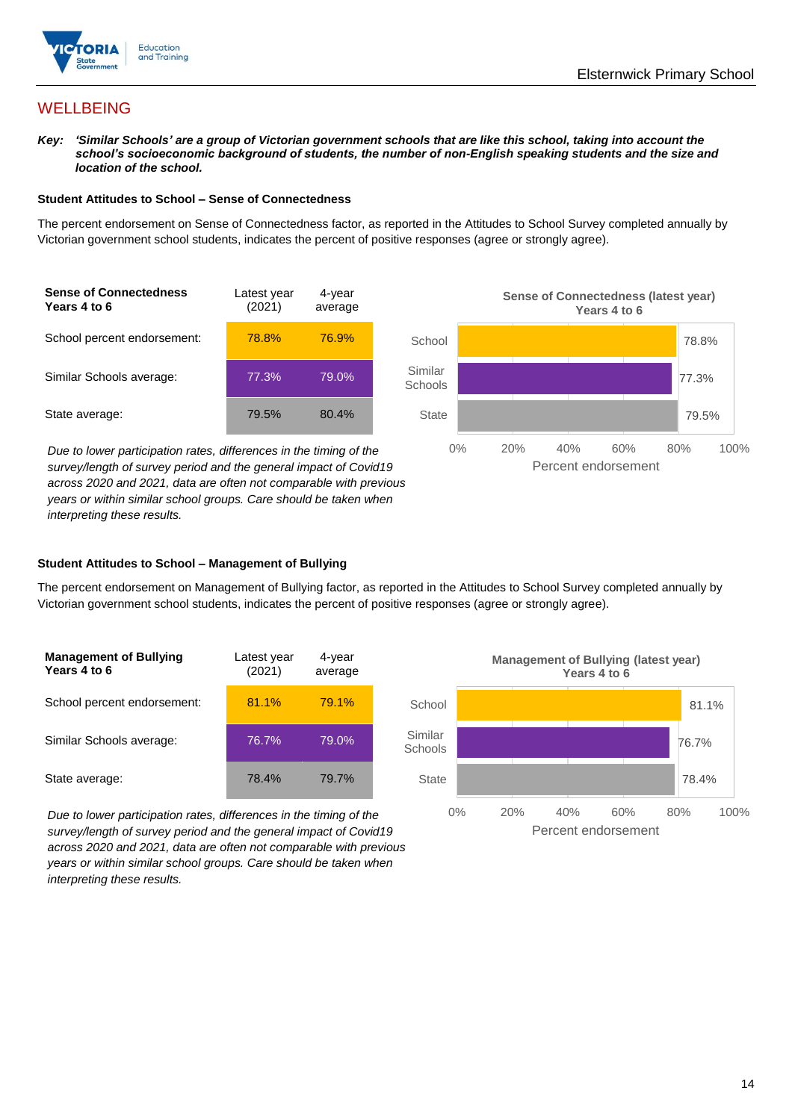

# **WELLBEING**

*Key: 'Similar Schools' are a group of Victorian government schools that are like this school, taking into account the school's socioeconomic background of students, the number of non-English speaking students and the size and location of the school.*

### **Student Attitudes to School – Sense of Connectedness**

The percent endorsement on Sense of Connectedness factor, as reported in the Attitudes to School Survey completed annually by Victorian government school students, indicates the percent of positive responses (agree or strongly agree).



*Due to lower participation rates, differences in the timing of the survey/length of survey period and the general impact of Covid19 across 2020 and 2021, data are often not comparable with previous years or within similar school groups. Care should be taken when interpreting these results.*



### **Student Attitudes to School – Management of Bullying**

The percent endorsement on Management of Bullying factor, as reported in the Attitudes to School Survey completed annually by Victorian government school students, indicates the percent of positive responses (agree or strongly agree).

| <b>Management of Bullying</b><br>Years 4 to 6 | Latest year<br>(2021) | 4-year<br>average |  |
|-----------------------------------------------|-----------------------|-------------------|--|
| School percent endorsement:                   | 81.1%                 | 79.1%             |  |
| Similar Schools average:                      | 76.7%                 | 79.0%             |  |
| State average:                                | 78.4%                 | 79.7%             |  |

*Due to lower participation rates, differences in the timing of the survey/length of survey period and the general impact of Covid19 across 2020 and 2021, data are often not comparable with previous years or within similar school groups. Care should be taken when interpreting these results.*

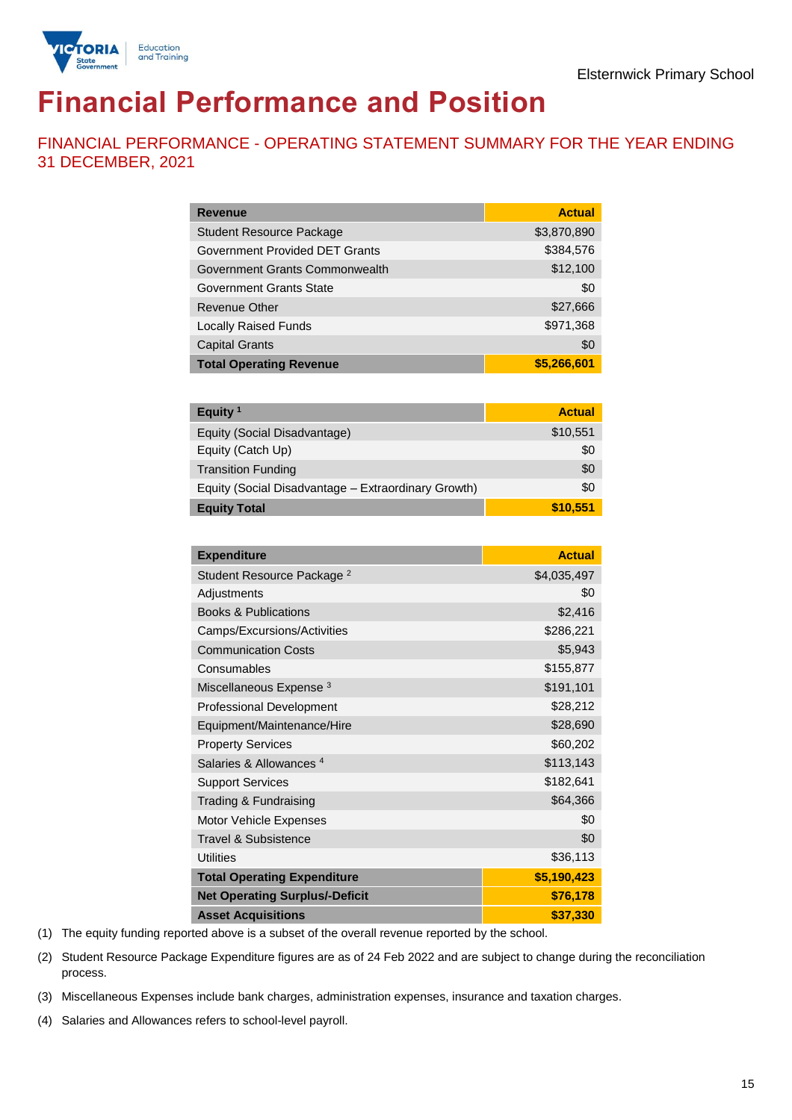

# **Financial Performance and Position**

FINANCIAL PERFORMANCE - OPERATING STATEMENT SUMMARY FOR THE YEAR ENDING 31 DECEMBER, 2021

| <b>Revenue</b>                  | <b>Actual</b> |
|---------------------------------|---------------|
| <b>Student Resource Package</b> | \$3,870,890   |
| Government Provided DET Grants  | \$384,576     |
| Government Grants Commonwealth  | \$12,100      |
| Government Grants State         | \$0           |
| <b>Revenue Other</b>            | \$27,666      |
| <b>Locally Raised Funds</b>     | \$971,368     |
| <b>Capital Grants</b>           | \$0           |
| <b>Total Operating Revenue</b>  | \$5,266,601   |

| Equity <sup>1</sup>                                 | <b>Actual</b> |
|-----------------------------------------------------|---------------|
| Equity (Social Disadvantage)                        | \$10,551      |
| Equity (Catch Up)                                   | \$0           |
| <b>Transition Funding</b>                           | \$0           |
| Equity (Social Disadvantage - Extraordinary Growth) | \$0           |
| <b>Equity Total</b>                                 | \$10,551      |

| <b>Expenditure</b>                    | <b>Actual</b> |
|---------------------------------------|---------------|
| Student Resource Package <sup>2</sup> | \$4,035,497   |
| Adjustments                           | \$0           |
| <b>Books &amp; Publications</b>       | \$2,416       |
| Camps/Excursions/Activities           | \$286,221     |
| <b>Communication Costs</b>            | \$5,943       |
| Consumables                           | \$155,877     |
| Miscellaneous Expense <sup>3</sup>    | \$191,101     |
| <b>Professional Development</b>       | \$28,212      |
| Equipment/Maintenance/Hire            | \$28,690      |
| <b>Property Services</b>              | \$60,202      |
| Salaries & Allowances <sup>4</sup>    | \$113,143     |
| <b>Support Services</b>               | \$182,641     |
| Trading & Fundraising                 | \$64,366      |
| Motor Vehicle Expenses                | \$0           |
| Travel & Subsistence                  | \$0           |
| <b>Utilities</b>                      | \$36,113      |
| <b>Total Operating Expenditure</b>    | \$5,190,423   |
| <b>Net Operating Surplus/-Deficit</b> | \$76,178      |
| <b>Asset Acquisitions</b>             | \$37,330      |

(1) The equity funding reported above is a subset of the overall revenue reported by the school.

(2) Student Resource Package Expenditure figures are as of 24 Feb 2022 and are subject to change during the reconciliation process.

(3) Miscellaneous Expenses include bank charges, administration expenses, insurance and taxation charges.

(4) Salaries and Allowances refers to school-level payroll.